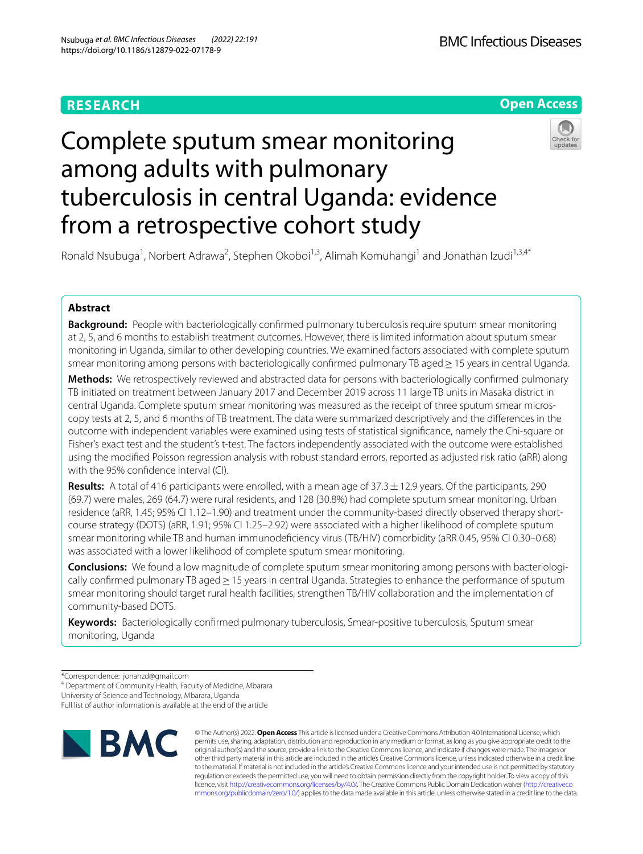# **RESEARCH**

**BMC Infectious Diseases** 



# Complete sputum smear monitoring among adults with pulmonary tuberculosis in central Uganda: evidence from a retrospective cohort study



Ronald Nsubuga<sup>1</sup>, Norbert Adrawa<sup>2</sup>, Stephen Okoboi<sup>1,3</sup>, Alimah Komuhangi<sup>1</sup> and Jonathan Izudi<sup>1,3,4\*</sup>

# **Abstract**

**Background:** People with bacteriologically confrmed pulmonary tuberculosis require sputum smear monitoring at 2, 5, and 6 months to establish treatment outcomes. However, there is limited information about sputum smear monitoring in Uganda, similar to other developing countries. We examined factors associated with complete sputum smear monitoring among persons with bacteriologically confirmed pulmonary TB aged ≥ 15 years in central Uganda.

**Methods:** We retrospectively reviewed and abstracted data for persons with bacteriologically confrmed pulmonary TB initiated on treatment between January 2017 and December 2019 across 11 large TB units in Masaka district in central Uganda. Complete sputum smear monitoring was measured as the receipt of three sputum smear microscopy tests at 2, 5, and 6 months of TB treatment. The data were summarized descriptively and the diferences in the outcome with independent variables were examined using tests of statistical signifcance, namely the Chi-square or Fisher's exact test and the student's t-test. The factors independently associated with the outcome were established using the modifed Poisson regression analysis with robust standard errors, reported as adjusted risk ratio (aRR) along with the 95% confdence interval (CI).

**Results:** A total of 416 participants were enrolled, with a mean age of 37.3±12.9 years. Of the participants, 290 (69.7) were males, 269 (64.7) were rural residents, and 128 (30.8%) had complete sputum smear monitoring. Urban residence (aRR, 1.45; 95% CI 1.12–1.90) and treatment under the community-based directly observed therapy shortcourse strategy (DOTS) (aRR, 1.91; 95% CI 1.25–2.92) were associated with a higher likelihood of complete sputum smear monitoring while TB and human immunodefciency virus (TB/HIV) comorbidity (aRR 0.45, 95% CI 0.30–0.68) was associated with a lower likelihood of complete sputum smear monitoring.

**Conclusions:** We found a low magnitude of complete sputum smear monitoring among persons with bacteriologically confrmed pulmonary TB aged≥15 years in central Uganda. Strategies to enhance the performance of sputum smear monitoring should target rural health facilities, strengthen TB/HIV collaboration and the implementation of community-based DOTS.

**Keywords:** Bacteriologically confrmed pulmonary tuberculosis, Smear-positive tuberculosis, Sputum smear monitoring, Uganda

4 Department of Community Health, Faculty of Medicine, Mbarara

University of Science and Technology, Mbarara, Uganda

Full list of author information is available at the end of the article



© The Author(s) 2022. **Open Access** This article is licensed under a Creative Commons Attribution 4.0 International License, which permits use, sharing, adaptation, distribution and reproduction in any medium or format, as long as you give appropriate credit to the original author(s) and the source, provide a link to the Creative Commons licence, and indicate if changes were made. The images or other third party material in this article are included in the article's Creative Commons licence, unless indicated otherwise in a credit line to the material. If material is not included in the article's Creative Commons licence and your intended use is not permitted by statutory regulation or exceeds the permitted use, you will need to obtain permission directly from the copyright holder. To view a copy of this licence, visit [http://creativecommons.org/licenses/by/4.0/.](http://creativecommons.org/licenses/by/4.0/) The Creative Commons Public Domain Dedication waiver ([http://creativeco](http://creativecommons.org/publicdomain/zero/1.0/) [mmons.org/publicdomain/zero/1.0/](http://creativecommons.org/publicdomain/zero/1.0/)) applies to the data made available in this article, unless otherwise stated in a credit line to the data.

<sup>\*</sup>Correspondence: jonahzd@gmail.com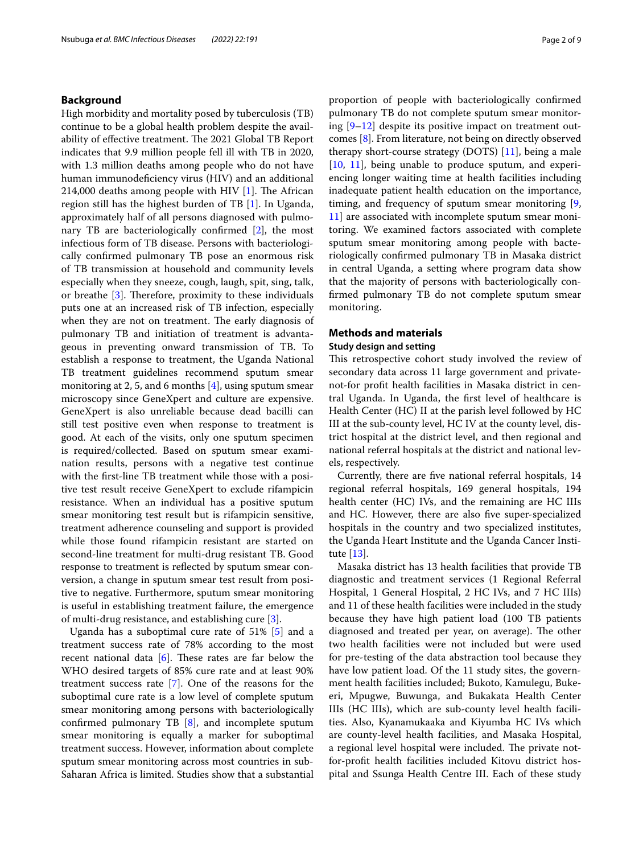# **Background**

High morbidity and mortality posed by tuberculosis (TB) continue to be a global health problem despite the availability of effective treatment. The 2021 Global TB Report indicates that 9.9 million people fell ill with TB in 2020, with 1.3 million deaths among people who do not have human immunodefciency virus (HIV) and an additional 214,000 deaths among people with HIV  $[1]$  $[1]$ . The African region still has the highest burden of TB [\[1](#page-7-0)]. In Uganda, approximately half of all persons diagnosed with pulmonary TB are bacteriologically confrmed [\[2\]](#page-7-1), the most infectious form of TB disease. Persons with bacteriologically confrmed pulmonary TB pose an enormous risk of TB transmission at household and community levels especially when they sneeze, cough, laugh, spit, sing, talk, or breathe  $[3]$  $[3]$ . Therefore, proximity to these individuals puts one at an increased risk of TB infection, especially when they are not on treatment. The early diagnosis of pulmonary TB and initiation of treatment is advantageous in preventing onward transmission of TB. To establish a response to treatment, the Uganda National TB treatment guidelines recommend sputum smear monitoring at 2, 5, and 6 months  $[4]$  $[4]$ , using sputum smear microscopy since GeneXpert and culture are expensive. GeneXpert is also unreliable because dead bacilli can still test positive even when response to treatment is good. At each of the visits, only one sputum specimen is required/collected. Based on sputum smear examination results, persons with a negative test continue with the frst-line TB treatment while those with a positive test result receive GeneXpert to exclude rifampicin resistance. When an individual has a positive sputum smear monitoring test result but is rifampicin sensitive, treatment adherence counseling and support is provided while those found rifampicin resistant are started on second-line treatment for multi-drug resistant TB. Good response to treatment is refected by sputum smear conversion, a change in sputum smear test result from positive to negative. Furthermore, sputum smear monitoring is useful in establishing treatment failure, the emergence of multi-drug resistance, and establishing cure [[3\]](#page-7-2).

Uganda has a suboptimal cure rate of 51% [[5\]](#page-7-4) and a treatment success rate of 78% according to the most recent national data  $[6]$  $[6]$ . These rates are far below the WHO desired targets of 85% cure rate and at least 90% treatment success rate [\[7](#page-7-6)]. One of the reasons for the suboptimal cure rate is a low level of complete sputum smear monitoring among persons with bacteriologically confrmed pulmonary TB [[8\]](#page-7-7), and incomplete sputum smear monitoring is equally a marker for suboptimal treatment success. However, information about complete sputum smear monitoring across most countries in sub-Saharan Africa is limited. Studies show that a substantial proportion of people with bacteriologically confrmed pulmonary TB do not complete sputum smear monitoring  $[9-12]$  $[9-12]$  despite its positive impact on treatment outcomes [\[8](#page-7-7)]. From literature, not being on directly observed therapy short-course strategy (DOTS)  $[11]$  $[11]$  $[11]$ , being a male [[10,](#page-7-11) [11](#page-7-10)], being unable to produce sputum, and experiencing longer waiting time at health facilities including inadequate patient health education on the importance, timing, and frequency of sputum smear monitoring [\[9](#page-7-8), [11\]](#page-7-10) are associated with incomplete sputum smear monitoring. We examined factors associated with complete sputum smear monitoring among people with bacteriologically confrmed pulmonary TB in Masaka district in central Uganda, a setting where program data show that the majority of persons with bacteriologically confrmed pulmonary TB do not complete sputum smear monitoring.

# **Methods and materials**

# **Study design and setting**

This retrospective cohort study involved the review of secondary data across 11 large government and privatenot-for proft health facilities in Masaka district in central Uganda. In Uganda, the frst level of healthcare is Health Center (HC) II at the parish level followed by HC III at the sub-county level, HC IV at the county level, district hospital at the district level, and then regional and national referral hospitals at the district and national levels, respectively.

Currently, there are fve national referral hospitals, 14 regional referral hospitals, 169 general hospitals, 194 health center (HC) IVs, and the remaining are HC IIIs and HC. However, there are also fve super-specialized hospitals in the country and two specialized institutes, the Uganda Heart Institute and the Uganda Cancer Institute [\[13](#page-7-12)].

Masaka district has 13 health facilities that provide TB diagnostic and treatment services (1 Regional Referral Hospital, 1 General Hospital, 2 HC IVs, and 7 HC IIIs) and 11 of these health facilities were included in the study because they have high patient load (100 TB patients diagnosed and treated per year, on average). The other two health facilities were not included but were used for pre-testing of the data abstraction tool because they have low patient load. Of the 11 study sites, the government health facilities included; Bukoto, Kamulegu, Bukeeri, Mpugwe, Buwunga, and Bukakata Health Center IIIs (HC IIIs), which are sub-county level health facilities. Also, Kyanamukaaka and Kiyumba HC IVs which are county-level health facilities, and Masaka Hospital, a regional level hospital were included. The private notfor-proft health facilities included Kitovu district hospital and Ssunga Health Centre III. Each of these study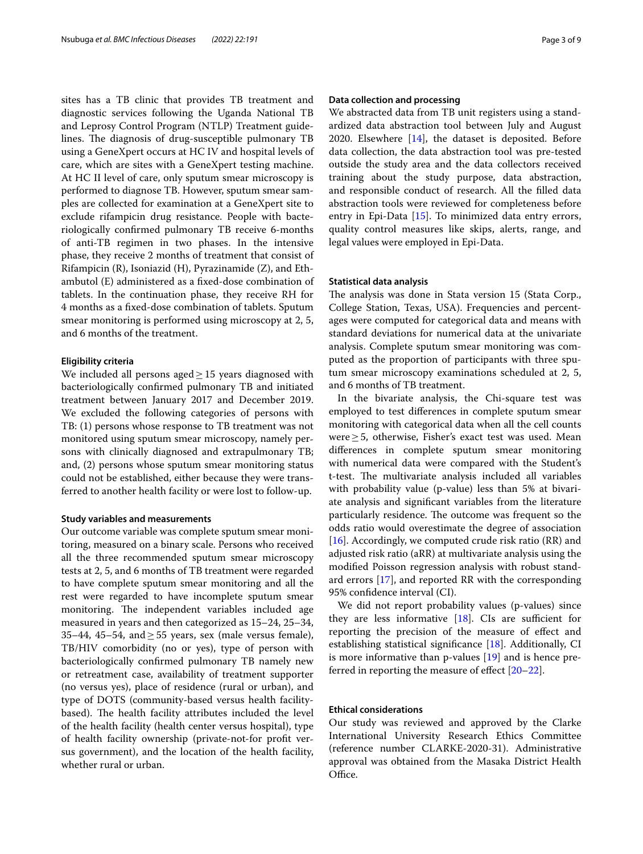sites has a TB clinic that provides TB treatment and diagnostic services following the Uganda National TB and Leprosy Control Program (NTLP) Treatment guidelines. The diagnosis of drug-susceptible pulmonary TB using a GeneXpert occurs at HC IV and hospital levels of care, which are sites with a GeneXpert testing machine. At HC II level of care, only sputum smear microscopy is performed to diagnose TB. However, sputum smear samples are collected for examination at a GeneXpert site to exclude rifampicin drug resistance. People with bacteriologically confrmed pulmonary TB receive 6-months of anti-TB regimen in two phases. In the intensive phase, they receive 2 months of treatment that consist of Rifampicin (R), Isoniazid (H), Pyrazinamide (Z), and Ethambutol (E) administered as a fxed-dose combination of tablets. In the continuation phase, they receive RH for 4 months as a fxed-dose combination of tablets. Sputum smear monitoring is performed using microscopy at 2, 5, and 6 months of the treatment.

#### **Eligibility criteria**

We included all persons aged $\geq$  15 years diagnosed with bacteriologically confrmed pulmonary TB and initiated treatment between January 2017 and December 2019. We excluded the following categories of persons with TB: (1) persons whose response to TB treatment was not monitored using sputum smear microscopy, namely persons with clinically diagnosed and extrapulmonary TB; and, (2) persons whose sputum smear monitoring status could not be established, either because they were transferred to another health facility or were lost to follow-up.

#### **Study variables and measurements**

Our outcome variable was complete sputum smear monitoring, measured on a binary scale. Persons who received all the three recommended sputum smear microscopy tests at 2, 5, and 6 months of TB treatment were regarded to have complete sputum smear monitoring and all the rest were regarded to have incomplete sputum smear monitoring. The independent variables included age measured in years and then categorized as 15–24, 25–34, 35–44, 45–54, and  $\geq$  55 years, sex (male versus female), TB/HIV comorbidity (no or yes), type of person with bacteriologically confrmed pulmonary TB namely new or retreatment case, availability of treatment supporter (no versus yes), place of residence (rural or urban), and type of DOTS (community-based versus health facilitybased). The health facility attributes included the level of the health facility (health center versus hospital), type of health facility ownership (private-not-for proft versus government), and the location of the health facility, whether rural or urban.

# **Data collection and processing**

We abstracted data from TB unit registers using a standardized data abstraction tool between July and August 2020. Elsewhere [\[14](#page-7-13)], the dataset is deposited. Before data collection, the data abstraction tool was pre-tested outside the study area and the data collectors received training about the study purpose, data abstraction, and responsible conduct of research. All the flled data abstraction tools were reviewed for completeness before entry in Epi-Data [[15](#page-7-14)]. To minimized data entry errors, quality control measures like skips, alerts, range, and legal values were employed in Epi-Data.

#### **Statistical data analysis**

The analysis was done in Stata version 15 (Stata Corp., College Station, Texas, USA). Frequencies and percentages were computed for categorical data and means with standard deviations for numerical data at the univariate analysis. Complete sputum smear monitoring was computed as the proportion of participants with three sputum smear microscopy examinations scheduled at 2, 5, and 6 months of TB treatment.

In the bivariate analysis, the Chi-square test was employed to test diferences in complete sputum smear monitoring with categorical data when all the cell counts were≥5, otherwise, Fisher's exact test was used. Mean diferences in complete sputum smear monitoring with numerical data were compared with the Student's t-test. The multivariate analysis included all variables with probability value (p-value) less than 5% at bivariate analysis and signifcant variables from the literature particularly residence. The outcome was frequent so the odds ratio would overestimate the degree of association [[16\]](#page-7-15). Accordingly, we computed crude risk ratio (RR) and adjusted risk ratio (aRR) at multivariate analysis using the modifed Poisson regression analysis with robust standard errors [[17\]](#page-7-16), and reported RR with the corresponding 95% confdence interval (CI).

We did not report probability values (p-values) since they are less informative  $[18]$  $[18]$ . CIs are sufficient for reporting the precision of the measure of efect and establishing statistical signifcance [[18](#page-7-17)]. Additionally, CI is more informative than p-values  $[19]$  $[19]$  and is hence preferred in reporting the measure of efect [[20–](#page-7-19)[22](#page-7-20)].

#### **Ethical considerations**

Our study was reviewed and approved by the Clarke International University Research Ethics Committee (reference number CLARKE-2020-31). Administrative approval was obtained from the Masaka District Health Office.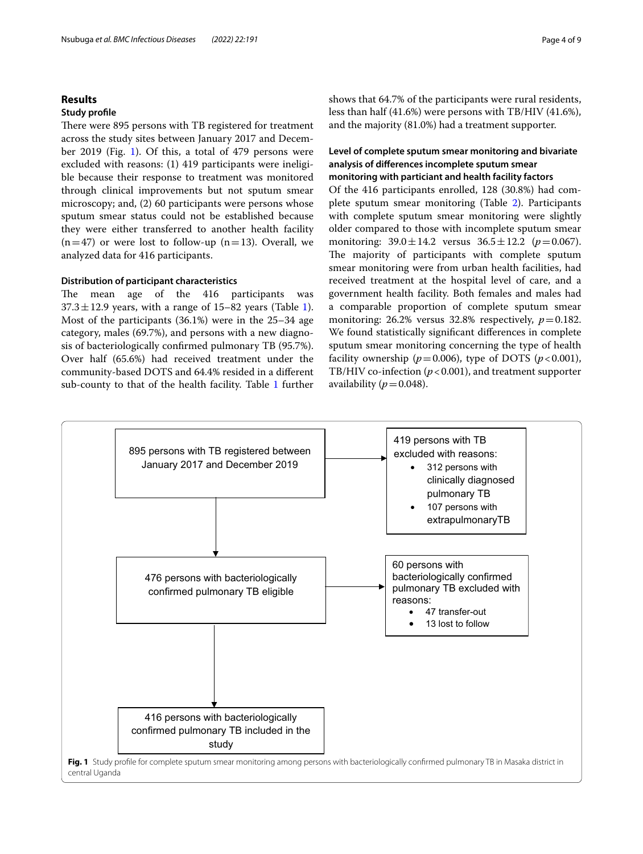# **Results**

# **Study profle**

There were 895 persons with TB registered for treatment across the study sites between January 2017 and December 2019 (Fig. [1\)](#page-3-0). Of this, a total of 479 persons were excluded with reasons: (1) 419 participants were ineligible because their response to treatment was monitored through clinical improvements but not sputum smear microscopy; and, (2) 60 participants were persons whose sputum smear status could not be established because they were either transferred to another health facility  $(n=47)$  or were lost to follow-up  $(n=13)$ . Overall, we analyzed data for 416 participants.

# **Distribution of participant characteristics**

The mean age of the 416 participants was  $37.3 \pm 12.9$  $37.3 \pm 12.9$  $37.3 \pm 12.9$  years, with a range of 15–82 years (Table 1). Most of the participants (36.1%) were in the 25–34 age category, males (69.7%), and persons with a new diagnosis of bacteriologically confrmed pulmonary TB (95.7%). Over half (65.6%) had received treatment under the community-based DOTS and 64.4% resided in a diferent sub-county to that of the health facility. Table [1](#page-4-0) further

shows that 64.7% of the participants were rural residents, less than half (41.6%) were persons with TB/HIV (41.6%), and the majority (81.0%) had a treatment supporter.

# **Level of complete sputum smear monitoring and bivariate analysis of diferences incomplete sputum smear monitoring with particiant and health facility factors**

Of the 416 participants enrolled, 128 (30.8%) had complete sputum smear monitoring (Table [2\)](#page-5-0). Participants with complete sputum smear monitoring were slightly older compared to those with incomplete sputum smear monitoring:  $39.0 \pm 14.2$  versus  $36.5 \pm 12.2$  ( $p = 0.067$ ). The majority of participants with complete sputum smear monitoring were from urban health facilities, had received treatment at the hospital level of care, and a government health facility. Both females and males had a comparable proportion of complete sputum smear monitoring: 26.2% versus 32.8% respectively,  $p = 0.182$ . We found statistically signifcant diferences in complete sputum smear monitoring concerning the type of health facility ownership ( $p = 0.006$ ), type of DOTS ( $p < 0.001$ ), TB/HIV co-infection ( $p < 0.001$ ), and treatment supporter availability  $(p=0.048)$ .

<span id="page-3-0"></span>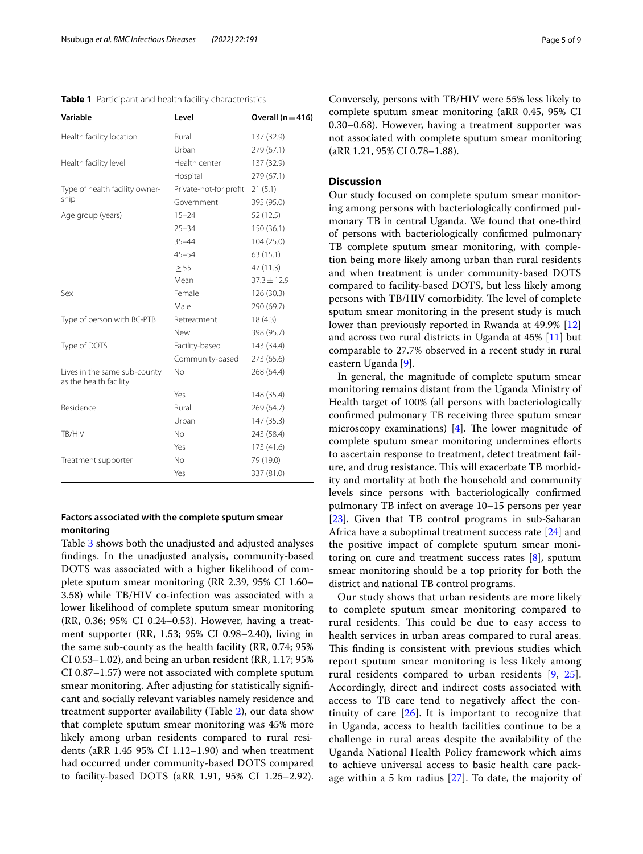<span id="page-4-0"></span>**Table 1** Participant and health facility characteristics

| Variable                                               | Level                  | Overall $(n=416)$ |  |
|--------------------------------------------------------|------------------------|-------------------|--|
| Health facility location                               | Rural                  | 137 (32.9)        |  |
|                                                        | Urban                  | 279 (67.1)        |  |
| Health facility level                                  | Health center          | 137 (32.9)        |  |
|                                                        | Hospital               | 279(67.1)         |  |
| Type of health facility owner-                         | Private-not-for profit | 21(5.1)           |  |
| ship                                                   | Government             | 395 (95.0)        |  |
| Age group (years)                                      | $15 - 24$              | 52 (12.5)         |  |
|                                                        | $25 - 34$              | 150 (36.1)        |  |
|                                                        | $35 - 44$              | 104(25.0)         |  |
|                                                        | $45 - 54$              | 63 (15.1)         |  |
|                                                        | > 55                   | 47 (11.3)         |  |
|                                                        | Mean                   | $37.3 \pm 12.9$   |  |
| Sex                                                    | Female                 | 126 (30.3)        |  |
|                                                        | Male                   | 290 (69.7)        |  |
| Type of person with BC-PTB                             | Retreatment            | 18(4.3)           |  |
|                                                        | New                    | 398 (95.7)        |  |
| Type of DOTS                                           | Facility-based         | 143 (34.4)        |  |
|                                                        | Community-based        | 273 (65.6)        |  |
| Lives in the same sub-county<br>as the health facility | No                     | 268 (64.4)        |  |
|                                                        | Yes                    | 148 (35.4)        |  |
| Residence                                              | Rural                  | 269 (64.7)        |  |
|                                                        | Urban                  | 147 (35.3)        |  |
| TB/HIV                                                 | No                     | 243 (58.4)        |  |
|                                                        | Yes                    | 173 (41.6)        |  |
| Treatment supporter                                    | No                     | 79 (19.0)         |  |
|                                                        | Yes                    | 337 (81.0)        |  |

# **Factors associated with the complete sputum smear monitoring**

Table [3](#page-5-1) shows both the unadjusted and adjusted analyses fndings. In the unadjusted analysis, community-based DOTS was associated with a higher likelihood of complete sputum smear monitoring (RR 2.39, 95% CI 1.60– 3.58) while TB/HIV co-infection was associated with a lower likelihood of complete sputum smear monitoring (RR, 0.36; 95% CI 0.24–0.53). However, having a treatment supporter (RR, 1.53; 95% CI 0.98–2.40), living in the same sub-county as the health facility (RR, 0.74; 95% CI 0.53–1.02), and being an urban resident (RR, 1.17; 95% CI 0.87–1.57) were not associated with complete sputum smear monitoring. After adjusting for statistically signifcant and socially relevant variables namely residence and treatment supporter availability (Table [2](#page-5-0)), our data show that complete sputum smear monitoring was 45% more likely among urban residents compared to rural residents (aRR 1.45 95% CI 1.12–1.90) and when treatment had occurred under community-based DOTS compared to facility-based DOTS (aRR 1.91, 95% CI 1.25–2.92).

Conversely, persons with TB/HIV were 55% less likely to complete sputum smear monitoring (aRR 0.45, 95% CI 0.30–0.68). However, having a treatment supporter was not associated with complete sputum smear monitoring (aRR 1.21, 95% CI 0.78–1.88).

# **Discussion**

Our study focused on complete sputum smear monitoring among persons with bacteriologically confrmed pulmonary TB in central Uganda. We found that one-third of persons with bacteriologically confrmed pulmonary TB complete sputum smear monitoring, with completion being more likely among urban than rural residents and when treatment is under community-based DOTS compared to facility-based DOTS, but less likely among persons with TB/HIV comorbidity. The level of complete sputum smear monitoring in the present study is much lower than previously reported in Rwanda at 49.9% [[12](#page-7-9)] and across two rural districts in Uganda at 45% [[11\]](#page-7-10) but comparable to 27.7% observed in a recent study in rural eastern Uganda [[9\]](#page-7-8).

In general, the magnitude of complete sputum smear monitoring remains distant from the Uganda Ministry of Health target of 100% (all persons with bacteriologically confrmed pulmonary TB receiving three sputum smear microscopy examinations)  $[4]$  $[4]$ . The lower magnitude of complete sputum smear monitoring undermines eforts to ascertain response to treatment, detect treatment failure, and drug resistance. This will exacerbate TB morbidity and mortality at both the household and community levels since persons with bacteriologically confrmed pulmonary TB infect on average 10–15 persons per year [[23\]](#page-7-21). Given that TB control programs in sub-Saharan Africa have a suboptimal treatment success rate [[24](#page-7-22)] and the positive impact of complete sputum smear monitoring on cure and treatment success rates  $[8]$  $[8]$ , sputum smear monitoring should be a top priority for both the district and national TB control programs.

Our study shows that urban residents are more likely to complete sputum smear monitoring compared to rural residents. This could be due to easy access to health services in urban areas compared to rural areas. This finding is consistent with previous studies which report sputum smear monitoring is less likely among rural residents compared to urban residents [\[9,](#page-7-8) [25](#page-7-23)]. Accordingly, direct and indirect costs associated with access to TB care tend to negatively afect the continuity of care [[26\]](#page-7-24). It is important to recognize that in Uganda, access to health facilities continue to be a challenge in rural areas despite the availability of the Uganda National Health Policy framework which aims to achieve universal access to basic health care package within a 5 km radius [[27](#page-7-25)]. To date, the majority of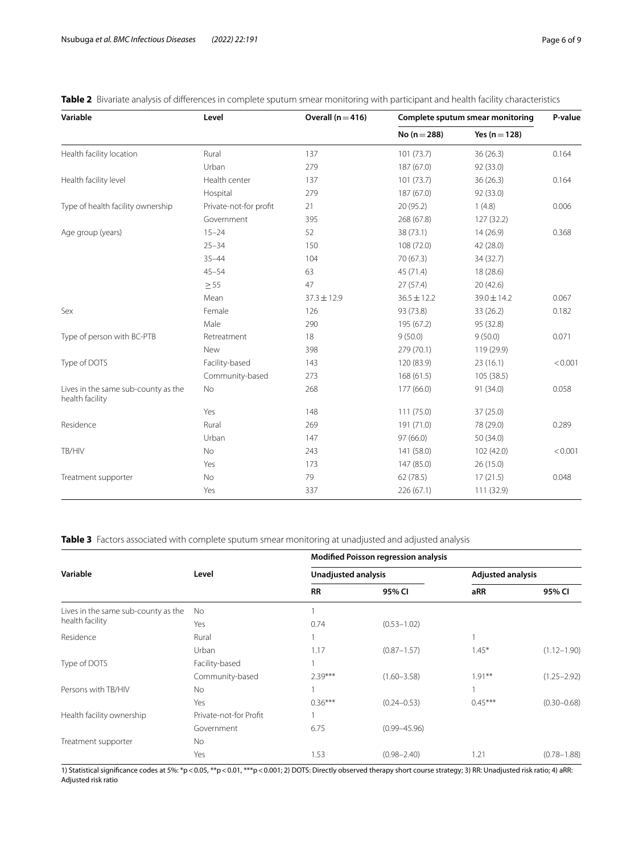| Variable                                               | Level                  | Overall ( $n = 416$ ) | Complete sputum smear monitoring |                   | P-value |
|--------------------------------------------------------|------------------------|-----------------------|----------------------------------|-------------------|---------|
|                                                        |                        |                       | No ( $n = 288$ )                 | Yes ( $n = 128$ ) |         |
| Health facility location                               | Rural                  | 137                   | 101(73.7)                        | 36(26.3)          | 0.164   |
|                                                        | Urban                  | 279                   | 187 (67.0)                       | 92 (33.0)         |         |
| Health facility level                                  | Health center          | 137                   | 101(73.7)                        | 36(26.3)          | 0.164   |
|                                                        | Hospital               | 279                   | 187 (67.0)                       | 92 (33.0)         |         |
| Type of health facility ownership                      | Private-not-for profit | 21                    | 20 (95.2)                        | 1(4.8)            | 0.006   |
|                                                        | Government             | 395                   | 268 (67.8)                       | 127 (32.2)        |         |
| Age group (years)                                      | $15 - 24$              | 52                    | 38 (73.1)                        | 14(26.9)          | 0.368   |
|                                                        | $25 - 34$              | 150                   | 108 (72.0)                       | 42 (28.0)         |         |
|                                                        | $35 - 44$              | 104                   | 70 (67.3)                        | 34 (32.7)         |         |
|                                                        | $45 - 54$              | 63                    | 45 (71.4)                        | 18 (28.6)         |         |
|                                                        | $\geq 55$              | 47                    | 27(57.4)                         | 20(42.6)          |         |
|                                                        | Mean                   | $37.3 \pm 12.9$       | $36.5 \pm 12.2$                  | $39.0 \pm 14.2$   | 0.067   |
| Sex                                                    | Female                 | 126                   | 93 (73.8)                        | 33 (26.2)         | 0.182   |
|                                                        | Male                   | 290                   | 195 (67.2)                       | 95 (32.8)         |         |
| Type of person with BC-PTB                             | Retreatment            | 18                    | 9(50.0)                          | 9(50.0)           | 0.071   |
|                                                        | New                    | 398                   | 279(70.1)                        | 119 (29.9)        |         |
| Type of DOTS                                           | Facility-based         | 143                   | 120 (83.9)                       | 23(16.1)          | < 0.001 |
|                                                        | Community-based        | 273                   | 168(61.5)                        | 105 (38.5)        |         |
| Lives in the same sub-county as the<br>health facility | No                     | 268                   | 177 (66.0)                       | 91 (34.0)         | 0.058   |
|                                                        | Yes                    | 148                   | 111(75.0)                        | 37(25.0)          |         |
| Residence                                              | Rural                  | 269                   | 191 (71.0)                       | 78 (29.0)         | 0.289   |
|                                                        | Urban                  | 147                   | 97(66.0)                         | 50 (34.0)         |         |
| TB/HIV                                                 | <b>No</b>              | 243                   | 141 (58.0)                       | 102 (42.0)        | < 0.001 |
|                                                        | Yes                    | 173                   | 147 (85.0)                       | 26(15.0)          |         |
| Treatment supporter                                    | No                     | 79                    | 62 (78.5)                        | 17(21.5)          | 0.048   |
|                                                        | Yes                    | 337                   | 226(67.1)                        | 111 (32.9)        |         |

<span id="page-5-0"></span>**Table 2** Bivariate analysis of diferences in complete sputum smear monitoring with participant and health facility characteristics

# <span id="page-5-1"></span>**Table 3** Factors associated with complete sputum smear monitoring at unadjusted and adjusted analysis

| Variable                                               | Level                  | <b>Modified Poisson regression analysis</b> |                  |                          |                 |
|--------------------------------------------------------|------------------------|---------------------------------------------|------------------|--------------------------|-----------------|
|                                                        |                        | Unadjusted analysis                         |                  | <b>Adjusted analysis</b> |                 |
|                                                        |                        | <b>RR</b>                                   | 95% CI           | aRR                      | 95% CI          |
| Lives in the same sub-county as the<br>health facility | No.                    |                                             |                  |                          |                 |
|                                                        | Yes                    | 0.74                                        | $(0.53 - 1.02)$  |                          |                 |
| Residence                                              | Rural                  |                                             |                  |                          |                 |
|                                                        | Urban                  | 1.17                                        | $(0.87 - 1.57)$  | $1.45*$                  | $(1.12 - 1.90)$ |
| Type of DOTS                                           | Facility-based         |                                             |                  |                          |                 |
|                                                        | Community-based        | $2.39***$                                   | $(1.60 - 3.58)$  | $1.91***$                | $(1.25 - 2.92)$ |
| Persons with TB/HIV                                    | No.                    |                                             |                  |                          |                 |
|                                                        | Yes                    | $0.36***$                                   | $(0.24 - 0.53)$  | $0.45***$                | $(0.30 - 0.68)$ |
| Health facility ownership                              | Private-not-for Profit |                                             |                  |                          |                 |
|                                                        | Government             | 6.75                                        | $(0.99 - 45.96)$ |                          |                 |
| Treatment supporter                                    | No.                    |                                             |                  |                          |                 |
|                                                        | Yes                    | 1.53                                        | $(0.98 - 2.40)$  | 1.21                     | $(0.78 - 1.88)$ |

1) Statistical significance codes at 5%: \*p < 0.05, \*\*p < 0.01, \*\*\*p < 0.001; 2) DOTS: Directly observed therapy short course strategy; 3) RR: Unadjusted risk ratio; 4) aRR: Adjusted risk ratio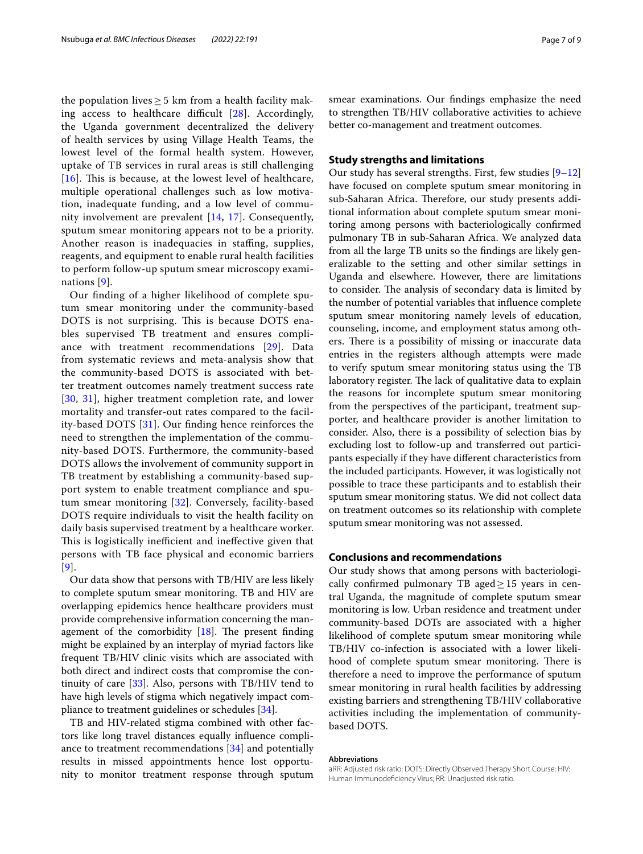the population lives  $\geq$  5 km from a health facility making access to healthcare difficult  $[28]$  $[28]$ . Accordingly, the Uganda government decentralized the delivery of health services by using Village Health Teams, the lowest level of the formal health system. However, uptake of TB services in rural areas is still challenging [[16](#page-7-15)]. This is because, at the lowest level of healthcare, multiple operational challenges such as low motivation, inadequate funding, and a low level of community involvement are prevalent [\[14](#page-7-13), [17\]](#page-7-16). Consequently, sputum smear monitoring appears not to be a priority. Another reason is inadequacies in staffing, supplies, reagents, and equipment to enable rural health facilities to perform follow-up sputum smear microscopy examinations [[9\]](#page-7-8).

Our fnding of a higher likelihood of complete sputum smear monitoring under the community-based DOTS is not surprising. This is because DOTS enables supervised TB treatment and ensures compliance with treatment recommendations [[29](#page-7-27)]. Data from systematic reviews and meta-analysis show that the community-based DOTS is associated with better treatment outcomes namely treatment success rate [[30](#page-7-28), [31\]](#page-7-29), higher treatment completion rate, and lower mortality and transfer-out rates compared to the facility-based DOTS [[31](#page-7-29)]. Our fnding hence reinforces the need to strengthen the implementation of the community-based DOTS. Furthermore, the community-based DOTS allows the involvement of community support in TB treatment by establishing a community-based support system to enable treatment compliance and sputum smear monitoring [[32](#page-7-30)]. Conversely, facility-based DOTS require individuals to visit the health facility on daily basis supervised treatment by a healthcare worker. This is logistically inefficient and ineffective given that persons with TB face physical and economic barriers [[9](#page-7-8)].

Our data show that persons with TB/HIV are less likely to complete sputum smear monitoring. TB and HIV are overlapping epidemics hence healthcare providers must provide comprehensive information concerning the management of the comorbidity  $[18]$  $[18]$ . The present finding might be explained by an interplay of myriad factors like frequent TB/HIV clinic visits which are associated with both direct and indirect costs that compromise the continuity of care [[33](#page-8-0)]. Also, persons with TB/HIV tend to have high levels of stigma which negatively impact compliance to treatment guidelines or schedules [[34\]](#page-8-1).

TB and HIV-related stigma combined with other factors like long travel distances equally infuence compliance to treatment recommendations [\[34\]](#page-8-1) and potentially results in missed appointments hence lost opportunity to monitor treatment response through sputum smear examinations. Our fndings emphasize the need to strengthen TB/HIV collaborative activities to achieve better co-management and treatment outcomes.

# **Study strengths and limitations**

Our study has several strengths. First, few studies [[9–](#page-7-8)[12](#page-7-9)] have focused on complete sputum smear monitoring in sub-Saharan Africa. Therefore, our study presents additional information about complete sputum smear monitoring among persons with bacteriologically confrmed pulmonary TB in sub-Saharan Africa. We analyzed data from all the large TB units so the fndings are likely generalizable to the setting and other similar settings in Uganda and elsewhere. However, there are limitations to consider. The analysis of secondary data is limited by the number of potential variables that infuence complete sputum smear monitoring namely levels of education, counseling, income, and employment status among others. There is a possibility of missing or inaccurate data entries in the registers although attempts were made to verify sputum smear monitoring status using the TB laboratory register. The lack of qualitative data to explain the reasons for incomplete sputum smear monitoring from the perspectives of the participant, treatment supporter, and healthcare provider is another limitation to consider. Also, there is a possibility of selection bias by excluding lost to follow-up and transferred out participants especially if they have diferent characteristics from the included participants. However, it was logistically not possible to trace these participants and to establish their sputum smear monitoring status. We did not collect data on treatment outcomes so its relationship with complete sputum smear monitoring was not assessed.

# **Conclusions and recommendations**

Our study shows that among persons with bacteriologically confirmed pulmonary TB aged $\geq$  15 years in central Uganda, the magnitude of complete sputum smear monitoring is low. Urban residence and treatment under community-based DOTs are associated with a higher likelihood of complete sputum smear monitoring while TB/HIV co-infection is associated with a lower likelihood of complete sputum smear monitoring. There is therefore a need to improve the performance of sputum smear monitoring in rural health facilities by addressing existing barriers and strengthening TB/HIV collaborative activities including the implementation of communitybased DOTS.

#### **Abbreviations**

aRR: Adjusted risk ratio; DOTS: Directly Observed Therapy Short Course; HIV: Human Immunodefciency Virus; RR: Unadjusted risk ratio.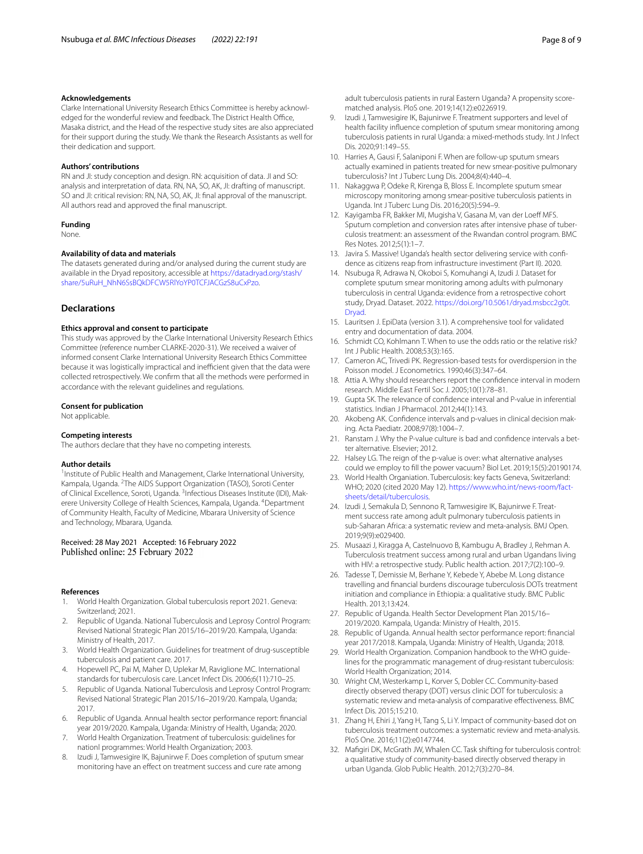Clarke International University Research Ethics Committee is hereby acknowledged for the wonderful review and feedback. The District Health Office, Masaka district, and the Head of the respective study sites are also appreciated for their support during the study. We thank the Research Assistants as well for their dedication and support.

#### **Authors' contributions**

RN and JI: study conception and design. RN: acquisition of data. JI and SO: analysis and interpretation of data. RN, NA, SO, AK, JI: drafting of manuscript. SO and JI: critical revision: RN, NA, SO, AK, JI: fnal approval of the manuscript. All authors read and approved the fnal manuscript.

#### **Funding**

None.

#### **Availability of data and materials**

The datasets generated during and/or analysed during the current study are available in the Dryad repository, accessible at [https://datadryad.org/stash/](https://datadryad.org/stash/share/5uRuH_NhN6SsBQkDFCW5RlYoYP0TCFJACGzS8uCxPzo) [share/5uRuH\\_NhN6SsBQkDFCW5RlYoYP0TCFJACGzS8uCxPzo.](https://datadryad.org/stash/share/5uRuH_NhN6SsBQkDFCW5RlYoYP0TCFJACGzS8uCxPzo)

# **Declarations**

#### **Ethics approval and consent to participate**

This study was approved by the Clarke International University Research Ethics Committee (reference number CLARKE-2020-31). We received a waiver of informed consent Clarke International University Research Ethics Committee because it was logistically impractical and inefficient given that the data were collected retrospectively. We confrm that all the methods were performed in accordance with the relevant guidelines and regulations.

#### **Consent for publication**

Not applicable.

#### **Competing interests**

The authors declare that they have no competing interests.

#### **Author details**

<sup>1</sup> Institute of Public Health and Management, Clarke International University, Kampala, Uganda. <sup>2</sup>The AIDS Support Organization (TASO), Soroti Center of Clinical Excellence, Soroti, Uganda. <sup>3</sup>Infectious Diseases Institute (IDI), Makerere University College of Health Sciences, Kampala, Uganda. <sup>4</sup>Department of Community Health, Faculty of Medicine, Mbarara University of Science and Technology, Mbarara, Uganda.

# Received: 28 May 2021 Accepted: 16 February 2022

#### **References**

- <span id="page-7-0"></span>1. World Health Organization. Global tuberculosis report 2021. Geneva: Switzerland; 2021.
- <span id="page-7-1"></span>2. Republic of Uganda. National Tuberculosis and Leprosy Control Program: Revised National Strategic Plan 2015/16–2019/20. Kampala, Uganda: Ministry of Health, 2017.
- <span id="page-7-2"></span>3. World Health Organization. Guidelines for treatment of drug-susceptible tuberculosis and patient care. 2017.
- <span id="page-7-3"></span>4. Hopewell PC, Pai M, Maher D, Uplekar M, Raviglione MC. International standards for tuberculosis care. Lancet Infect Dis. 2006;6(11):710–25.
- <span id="page-7-4"></span>5. Republic of Uganda. National Tuberculosis and Leprosy Control Program: Revised National Strategic Plan 2015/16–2019/20. Kampala, Uganda; 2017.
- <span id="page-7-5"></span>6. Republic of Uganda. Annual health sector performance report: fnancial year 2019/2020. Kampala, Uganda: Ministry of Health, Uganda; 2020.
- <span id="page-7-6"></span>7. World Health Organization. Treatment of tuberculosis: guidelines for nationl programmes: World Health Organization; 2003.
- <span id="page-7-7"></span>8. Izudi J, Tamwesigire IK, Bajunirwe F. Does completion of sputum smear monitoring have an efect on treatment success and cure rate among
- <span id="page-7-8"></span>9. Izudi J, Tamwesigire IK, Bajunirwe F. Treatment supporters and level of health facility infuence completion of sputum smear monitoring among tuberculosis patients in rural Uganda: a mixed-methods study. Int J Infect Dis. 2020;91:149–55.
- <span id="page-7-11"></span>10. Harries A, Gausi F, Salaniponi F. When are follow-up sputum smears actually examined in patients treated for new smear-positive pulmonary tuberculosis? Int J Tuberc Lung Dis. 2004;8(4):440–4.
- <span id="page-7-10"></span>11. Nakaggwa P, Odeke R, Kirenga B, Bloss E. Incomplete sputum smear microscopy monitoring among smear-positive tuberculosis patients in Uganda. Int J Tuberc Lung Dis. 2016;20(5):594–9.
- <span id="page-7-9"></span>12. Kayigamba FR, Bakker MI, Mugisha V, Gasana M, van der Loeff MFS. Sputum completion and conversion rates after intensive phase of tuberculosis treatment: an assessment of the Rwandan control program. BMC Res Notes. 2012;5(1):1–7.
- <span id="page-7-12"></span>13. Javira S. Massive! Uganda's health sector delivering service with confdence as citizens reap from infrastructure investiment (Part II). 2020.
- <span id="page-7-13"></span>14. Nsubuga R, Adrawa N, Okoboi S, Komuhangi A, Izudi J. Dataset for complete sputum smear monitoring among adults with pulmonary tuberculosis in central Uganda: evidence from a retrospective cohort study, Dryad. Dataset. 2022. [https://doi.org/10.5061/dryad.msbcc2g0t.](https://doi.org/10.5061/dryad.msbcc2g0t.Dryad) [Dryad.](https://doi.org/10.5061/dryad.msbcc2g0t.Dryad)
- <span id="page-7-14"></span>15. Lauritsen J. EpiData (version 3.1). A comprehensive tool for validated entry and documentation of data. 2004.
- <span id="page-7-15"></span>16. Schmidt CO, Kohlmann T. When to use the odds ratio or the relative risk? Int J Public Health. 2008;53(3):165.
- <span id="page-7-16"></span>17. Cameron AC, Trivedi PK. Regression-based tests for overdispersion in the Poisson model. J Econometrics. 1990;46(3):347–64.
- <span id="page-7-17"></span>18. Attia A. Why should researchers report the confdence interval in modern research. Middle East Fertil Soc J. 2005;10(1):78–81.
- <span id="page-7-18"></span>19. Gupta SK. The relevance of confdence interval and P-value in inferential statistics. Indian J Pharmacol. 2012;44(1):143.
- <span id="page-7-19"></span>20. Akobeng AK. Confdence intervals and p-values in clinical decision making. Acta Paediatr. 2008;97(8):1004–7.
- 21. Ranstam J. Why the P-value culture is bad and confdence intervals a better alternative. Elsevier; 2012.
- <span id="page-7-20"></span>22. Halsey LG. The reign of the p-value is over: what alternative analyses could we employ to fll the power vacuum? Biol Let. 2019;15(5):20190174.
- <span id="page-7-21"></span>23. World Health Organiation. Tuberculosis: key facts Geneva, Switzerland: WHO; 2020 (cited 2020 May 12). [https://www.who.int/news-room/fact](https://www.who.int/news-room/fact-sheets/detail/tuberculosis)[sheets/detail/tuberculosis.](https://www.who.int/news-room/fact-sheets/detail/tuberculosis)
- <span id="page-7-22"></span>24. Izudi J, Semakula D, Sennono R, Tamwesigire IK, Bajunirwe F. Treatment success rate among adult pulmonary tuberculosis patients in sub-Saharan Africa: a systematic review and meta-analysis. BMJ Open. 2019;9(9):e029400.
- <span id="page-7-23"></span>25. Musaazi J, Kiragga A, Castelnuovo B, Kambugu A, Bradley J, Rehman A. Tuberculosis treatment success among rural and urban Ugandans living with HIV: a retrospective study. Public health action. 2017;7(2):100–9.
- <span id="page-7-24"></span>26. Tadesse T, Demissie M, Berhane Y, Kebede Y, Abebe M. Long distance travelling and fnancial burdens discourage tuberculosis DOTs treatment initiation and compliance in Ethiopia: a qualitative study. BMC Public Health. 2013;13:424.
- <span id="page-7-25"></span>27. Republic of Uganda. Health Sector Development Plan 2015/16– 2019/2020. Kampala, Uganda: Ministry of Health, 2015.
- <span id="page-7-26"></span>28. Republic of Uganda. Annual health sector performance report: fnancial year 2017/2018. Kampala, Uganda: Ministry of Health, Uganda; 2018.
- <span id="page-7-27"></span>29. World Health Organization. Companion handbook to the WHO guidelines for the programmatic management of drug-resistant tuberculosis: World Health Organization; 2014.
- <span id="page-7-28"></span>30. Wright CM, Westerkamp L, Korver S, Dobler CC. Community-based directly observed therapy (DOT) versus clinic DOT for tuberculosis: a systematic review and meta-analysis of comparative efectiveness. BMC Infect Dis. 2015;15:210.
- <span id="page-7-29"></span>31. Zhang H, Ehiri J, Yang H, Tang S, Li Y. Impact of community-based dot on tuberculosis treatment outcomes: a systematic review and meta-analysis. PloS One. 2016;11(2):e0147744.
- <span id="page-7-30"></span>32. Mafgiri DK, McGrath JW, Whalen CC. Task shifting for tuberculosis control: a qualitative study of community-based directly observed therapy in urban Uganda. Glob Public Health. 2012;7(3):270–84.